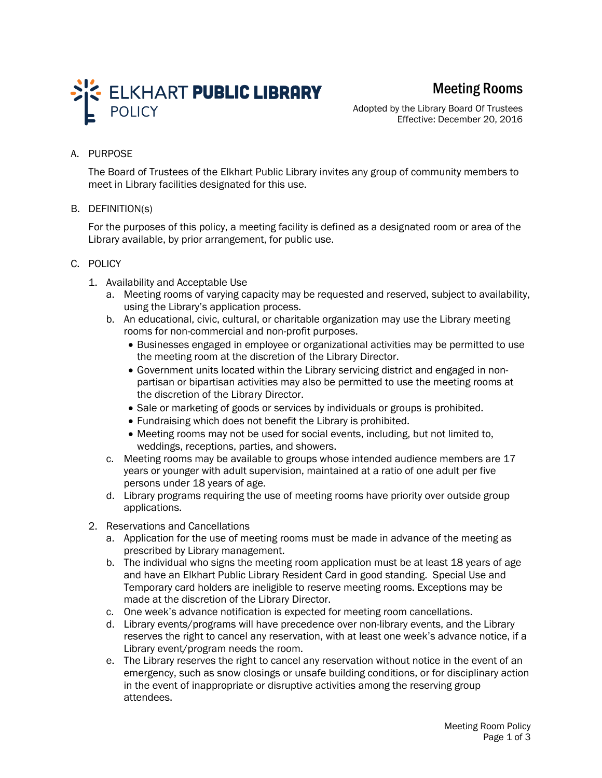

# Meeting Rooms

Adopted by the Library Board Of Trustees Effective: December 20, 2016

## A. PURPOSE

The Board of Trustees of the Elkhart Public Library invites any group of community members to meet in Library facilities designated for this use.

#### B. DEFINITION(s)

For the purposes of this policy, a meeting facility is defined as a designated room or area of the Library available, by prior arrangement, for public use.

#### C. POLICY

- 1. Availability and Acceptable Use
	- a. Meeting rooms of varying capacity may be requested and reserved, subject to availability, using the Library's application process.
	- b. An educational, civic, cultural, or charitable organization may use the Library meeting rooms for non-commercial and non-profit purposes.
		- Businesses engaged in employee or organizational activities may be permitted to use the meeting room at the discretion of the Library Director.
		- Government units located within the Library servicing district and engaged in nonpartisan or bipartisan activities may also be permitted to use the meeting rooms at the discretion of the Library Director.
		- Sale or marketing of goods or services by individuals or groups is prohibited.
		- Fundraising which does not benefit the Library is prohibited.
		- Meeting rooms may not be used for social events, including, but not limited to, weddings, receptions, parties, and showers.
	- c. Meeting rooms may be available to groups whose intended audience members are 17 years or younger with adult supervision, maintained at a ratio of one adult per five persons under 18 years of age.
	- d. Library programs requiring the use of meeting rooms have priority over outside group applications.
- 2. Reservations and Cancellations
	- a. Application for the use of meeting rooms must be made in advance of the meeting as prescribed by Library management.
	- b. The individual who signs the meeting room application must be at least 18 years of age and have an Elkhart Public Library Resident Card in good standing. Special Use and Temporary card holders are ineligible to reserve meeting rooms. Exceptions may be made at the discretion of the Library Director.
	- c. One week's advance notification is expected for meeting room cancellations.
	- d. Library events/programs will have precedence over non-library events, and the Library reserves the right to cancel any reservation, with at least one week's advance notice, if a Library event/program needs the room.
	- e. The Library reserves the right to cancel any reservation without notice in the event of an emergency, such as snow closings or unsafe building conditions, or for disciplinary action in the event of inappropriate or disruptive activities among the reserving group attendees.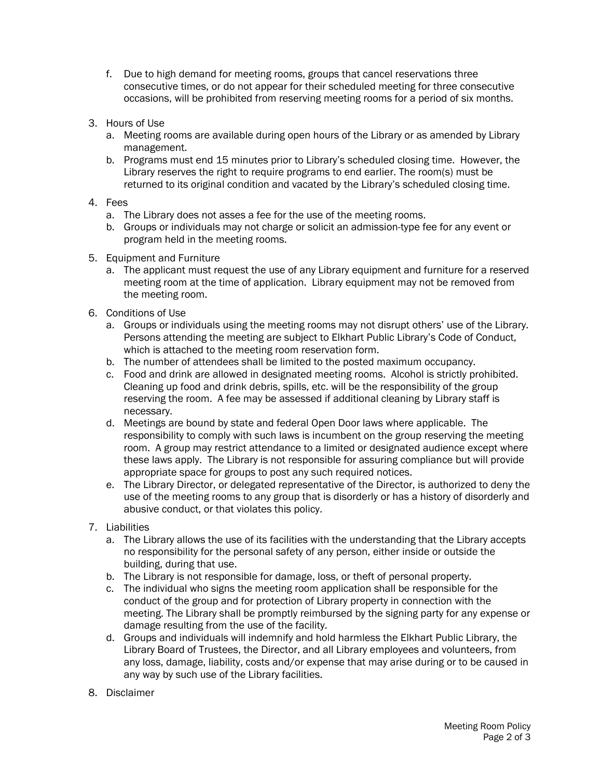- f. Due to high demand for meeting rooms, groups that cancel reservations three consecutive times, or do not appear for their scheduled meeting for three consecutive occasions, will be prohibited from reserving meeting rooms for a period of six months.
- 3. Hours of Use
	- a. Meeting rooms are available during open hours of the Library or as amended by Library management.
	- b. Programs must end 15 minutes prior to Library's scheduled closing time. However, the Library reserves the right to require programs to end earlier. The room(s) must be returned to its original condition and vacated by the Library's scheduled closing time.

## 4. Fees

- a. The Library does not asses a fee for the use of the meeting rooms.
- b. Groups or individuals may not charge or solicit an admission-type fee for any event or program held in the meeting rooms.
- 5. Equipment and Furniture
	- a. The applicant must request the use of any Library equipment and furniture for a reserved meeting room at the time of application. Library equipment may not be removed from the meeting room.
- 6. Conditions of Use
	- a. Groups or individuals using the meeting rooms may not disrupt others' use of the Library. Persons attending the meeting are subject to Elkhart Public Library's Code of Conduct, which is attached to the meeting room reservation form.
	- b. The number of attendees shall be limited to the posted maximum occupancy.
	- c. Food and drink are allowed in designated meeting rooms. Alcohol is strictly prohibited. Cleaning up food and drink debris, spills, etc. will be the responsibility of the group reserving the room. A fee may be assessed if additional cleaning by Library staff is necessary.
	- d. Meetings are bound by state and federal Open Door laws where applicable. The responsibility to comply with such laws is incumbent on the group reserving the meeting room. A group may restrict attendance to a limited or designated audience except where these laws apply. The Library is not responsible for assuring compliance but will provide appropriate space for groups to post any such required notices.
	- e. The Library Director, or delegated representative of the Director, is authorized to deny the use of the meeting rooms to any group that is disorderly or has a history of disorderly and abusive conduct, or that violates this policy.

## 7. Liabilities

- a. The Library allows the use of its facilities with the understanding that the Library accepts no responsibility for the personal safety of any person, either inside or outside the building, during that use.
- b. The Library is not responsible for damage, loss, or theft of personal property.
- c. The individual who signs the meeting room application shall be responsible for the conduct of the group and for protection of Library property in connection with the meeting. The Library shall be promptly reimbursed by the signing party for any expense or damage resulting from the use of the facility.
- d. Groups and individuals will indemnify and hold harmless the Elkhart Public Library, the Library Board of Trustees, the Director, and all Library employees and volunteers, from any loss, damage, liability, costs and/or expense that may arise during or to be caused in any way by such use of the Library facilities.
- 8. Disclaimer